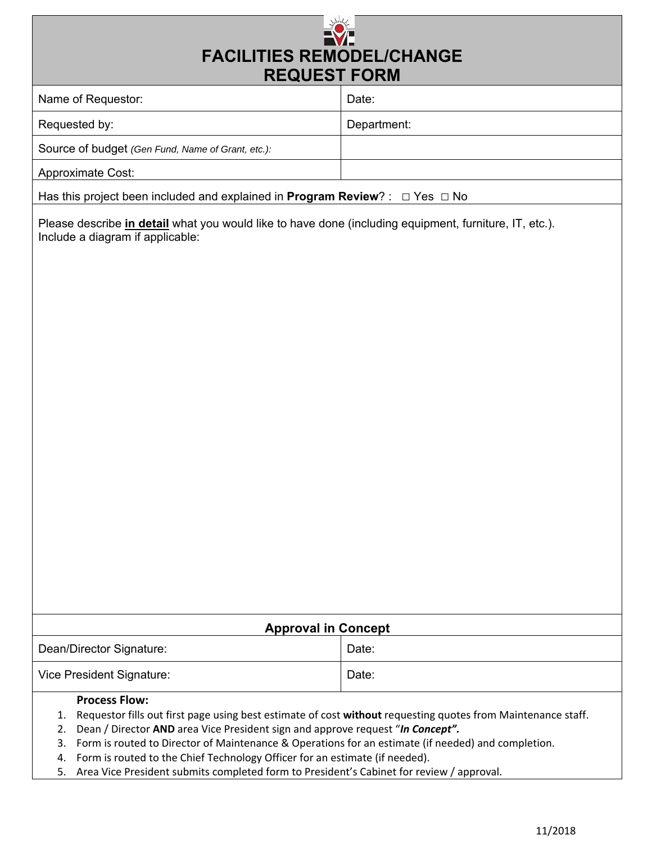| <b>REQUEST FORM</b>                                                                                                                                                                                                                                                                                                                            |             |  |  |  |
|------------------------------------------------------------------------------------------------------------------------------------------------------------------------------------------------------------------------------------------------------------------------------------------------------------------------------------------------|-------------|--|--|--|
| Name of Requestor:                                                                                                                                                                                                                                                                                                                             | Date:       |  |  |  |
| Requested by:                                                                                                                                                                                                                                                                                                                                  | Department: |  |  |  |
| Source of budget (Gen Fund, Name of Grant, etc.):                                                                                                                                                                                                                                                                                              |             |  |  |  |
| Approximate Cost:                                                                                                                                                                                                                                                                                                                              |             |  |  |  |
| Has this project been included and explained in <b>Program Review</b> ? : $\Box$ Yes $\Box$ No                                                                                                                                                                                                                                                 |             |  |  |  |
| Please describe in detail what you would like to have done (including equipment, furniture, IT, etc.).<br>Include a diagram if applicable:                                                                                                                                                                                                     |             |  |  |  |
| <b>Approval in Concept</b>                                                                                                                                                                                                                                                                                                                     |             |  |  |  |
| Dean/Director Signature:                                                                                                                                                                                                                                                                                                                       | Date:       |  |  |  |
| Vice President Signature:                                                                                                                                                                                                                                                                                                                      | Date:       |  |  |  |
| <b>Process Flow:</b><br>Requestor fills out first page using best estimate of cost without requesting quotes from Maintenance staff.<br>1.<br>Dean / Director AND area Vice President sign and approve request "In Concept".<br>2.<br>Form is routed to Director of Maintenance & Operations for an estimate (if needed) and completion.<br>3. |             |  |  |  |

- 4. Form is routed to the Chief Technology Officer for an estimate (if needed).
- 5. Area Vice President submits completed form to President's Cabinet for review / approval.